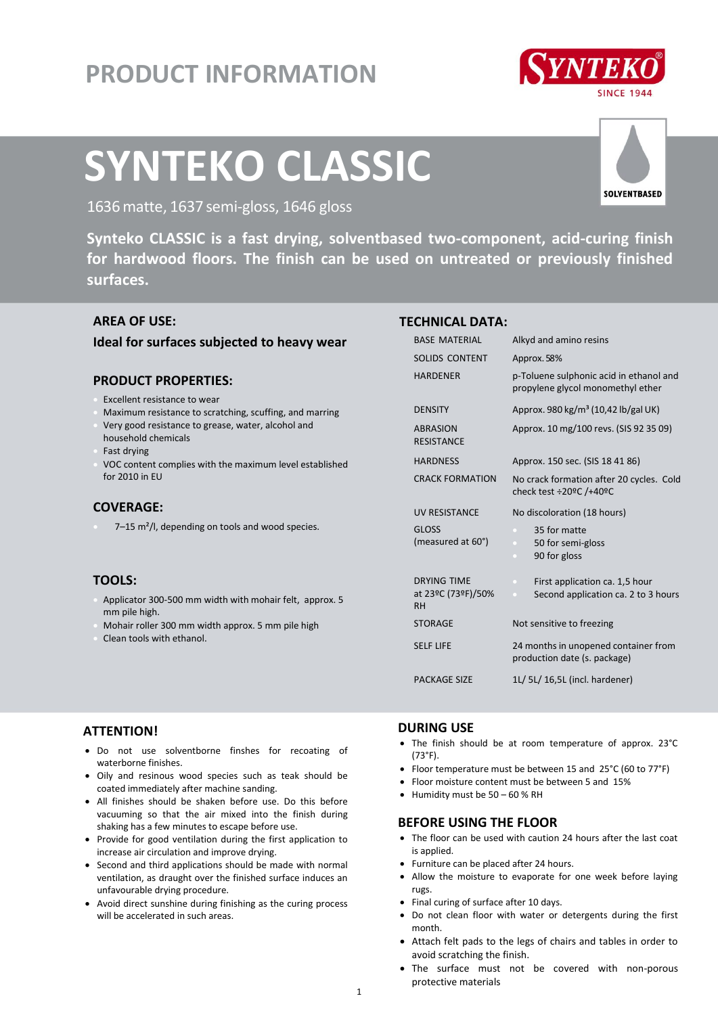# **PRODUCT INFORMATION**



# **SYNTEKO CLASSIC**



1636 matte, 1637 semi-gloss, 1646 gloss<br>**Synteko CLASSIC** is a fast drying, solventbased two-component, acid-curing finish **for hardwood floors. The finish can be used on untreated or previously finished surfaces.**

# **AREA OF USE:**

# **Ideal for surfaces subjected to heavy wear**

# **PRODUCT PROPERTIES:**

- Excellent resistance to wear
- Maximum resistance to scratching, scuffing, and marring Very good resistance to grease, water, alcohol and household chemicals
- Fast drying
- VOC content complies with the maximum level established for 2010 in EU

#### **COVERAGE:**

7–15 m²/l, depending on tools and wood species.

# **TOOLS:**

- Applicator 300-500 mm width with mohair felt, approx. 5 mm pile high.
- Mohair roller 300 mm width approx. 5 mm pile high
- Clean tools with ethanol.

#### **TECHNICAL DATA:**

| <b>BASE MATERIAL</b>                 | Alkyd and amino resins                                                       |
|--------------------------------------|------------------------------------------------------------------------------|
| SOLIDS CONTENT                       | Approx. 58%                                                                  |
| <b>HARDENER</b>                      | p-Toluene sulphonic acid in ethanol and<br>propylene glycol monomethyl ether |
| <b>DENSITY</b>                       | Approx. 980 kg/m <sup>3</sup> (10,42 lb/gal UK)                              |
| <b>ABRASION</b><br><b>RESISTANCE</b> | Approx. 10 mg/100 revs. (SIS 92 35 09)                                       |
| <b>HARDNESS</b>                      | Approx. 150 sec. (SIS 18 41 86)                                              |
| <b>CRACK FORMATION</b>               | No crack formation after 20 cycles. Cold<br>check test ÷20ºC /+40ºC          |
| <b>UV RESISTANCE</b>                 | No discoloration (18 hours)                                                  |
| <b>GLOSS</b>                         | 35 for matte<br>$\mathcal{L}$                                                |
| (measured at 60°)                    | 50 for semi-gloss<br>$\bullet$                                               |
|                                      | 90 for gloss<br>o                                                            |
| <b>DRYING TIME</b>                   | First application ca. 1,5 hour<br>$\bullet$                                  |
| at 23°C (73°F)/50%<br><b>RH</b>      | Second application ca. 2 to 3 hours<br>$\bullet$                             |
| <b>STORAGE</b>                       | Not sensitive to freezing                                                    |
| <b>SELF LIFE</b>                     | 24 months in unopened container from<br>production date (s. package)         |
| <b>PACKAGE SIZE</b>                  | 1L/ 5L/ 16,5L (incl. hardener)                                               |

# **ATTENTION!**

- Do not use solventborne finshes for recoating of waterborne finishes.
- Oily and resinous wood species such as teak should be coated immediately after machine sanding.
- All finishes should be shaken before use. Do this before vacuuming so that the air mixed into the finish during shaking has a few minutes to escape before use.
- Provide for good ventilation during the first application to increase air circulation and improve drying.
- Second and third applications should be made with normal ventilation, as draught over the finished surface induces an unfavourable drying procedure.
- Avoid direct sunshine during finishing as the curing process will be accelerated in such areas.

# **DURING USE**

- The finish should be at room temperature of approx. 23°C (73°F).
- Floor temperature must be between 15 and 25°C (60 to 77°F)
- Floor moisture content must be between 5 and 15%
- $\bullet$  Humidity must be 50 60 % RH

# **BEFORE USING THE FLOOR**

- The floor can be used with caution 24 hours after the last coat is applied.
- Furniture can be placed after 24 hours.
- Allow the moisture to evaporate for one week before laying rugs.
- Final curing of surface after 10 days.
- Do not clean floor with water or detergents during the first month.
- Attach felt pads to the legs of chairs and tables in order to avoid scratching the finish.
- The surface must not be covered with non-porous protective materials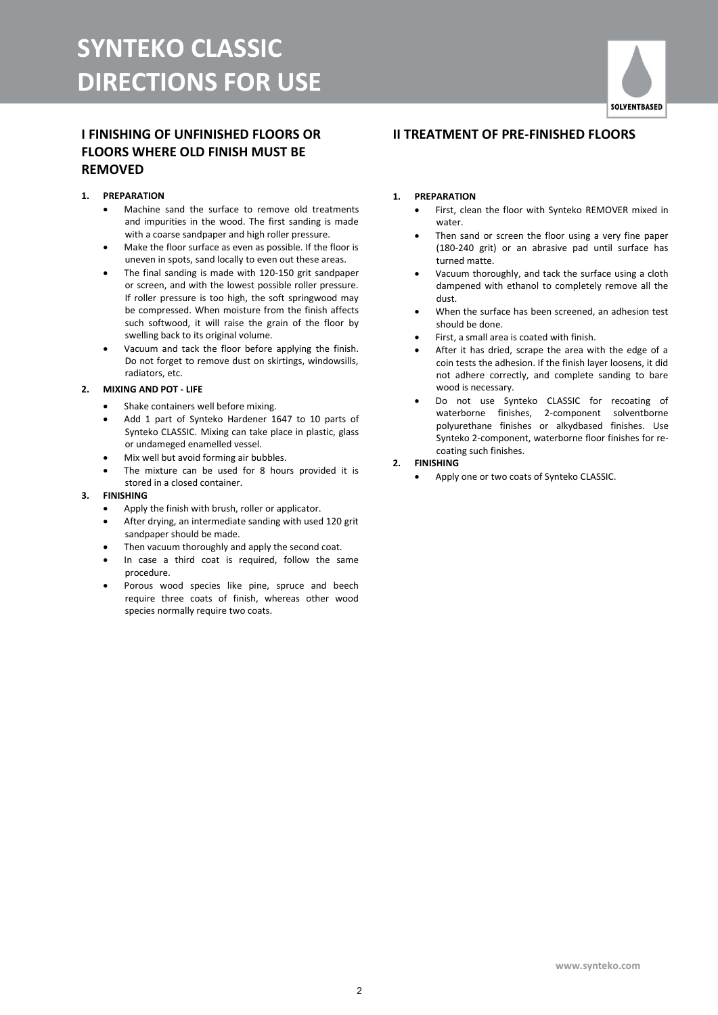# **I FINISHING OF UNFINISHED FLOORS OR FLOORS WHERE OLD FINISH MUST BE REMOVED**

#### **1. PREPARATION**

- Machine sand the surface to remove old treatments and impurities in the wood. The first sanding is made with a coarse sandpaper and high roller pressure.
- Make the floor surface as even as possible. If the floor is uneven in spots, sand locally to even out these areas.
- The final sanding is made with 120-150 grit sandpaper or screen, and with the lowest possible roller pressure. If roller pressure is too high, the soft springwood may be compressed. When moisture from the finish affects such softwood, it will raise the grain of the floor by swelling back to its original volume.
- Vacuum and tack the floor before applying the finish. Do not forget to remove dust on skirtings, windowsills, radiators, etc.

#### **2. MIXING AND POT - LIFE**

- Shake containers well before mixing.
- Add 1 part of Synteko Hardener 1647 to 10 parts of Synteko CLASSIC. Mixing can take place in plastic, glass or undameged enamelled vessel.
- Mix well but avoid forming air bubbles.
- The mixture can be used for 8 hours provided it is stored in a closed container.

#### **3. FINISHING**

- Apply the finish with brush, roller or applicator.
- After drying, an intermediate sanding with used 120 grit sandpaper should be made.
- Then vacuum thoroughly and apply the second coat.
- In case a third coat is required, follow the same procedure.
- Porous wood species like pine, spruce and beech require three coats of finish, whereas other wood species normally require two coats.

# **II TREATMENT OF PRE-FINISHED FLOORS**

#### **1. PREPARATION**

- First, clean the floor with Synteko REMOVER mixed in water.
- Then sand or screen the floor using a very fine paper (180-240 grit) or an abrasive pad until surface has turned matte.
- Vacuum thoroughly, and tack the surface using a cloth dampened with ethanol to completely remove all the dust.
- When the surface has been screened, an adhesion test should be done.
- First, a small area is coated with finish.
- After it has dried, scrape the area with the edge of a coin tests the adhesion. If the finish layer loosens, it did not adhere correctly, and complete sanding to bare wood is necessary.
- Do not use Synteko CLASSIC for recoating of waterborne finishes, 2-component solventborne polyurethane finishes or alkydbased finishes. Use Synteko 2-component, waterborne floor finishes for recoating such finishes.

#### **2. FINISHING**

Apply one or two coats of Synteko CLASSIC.

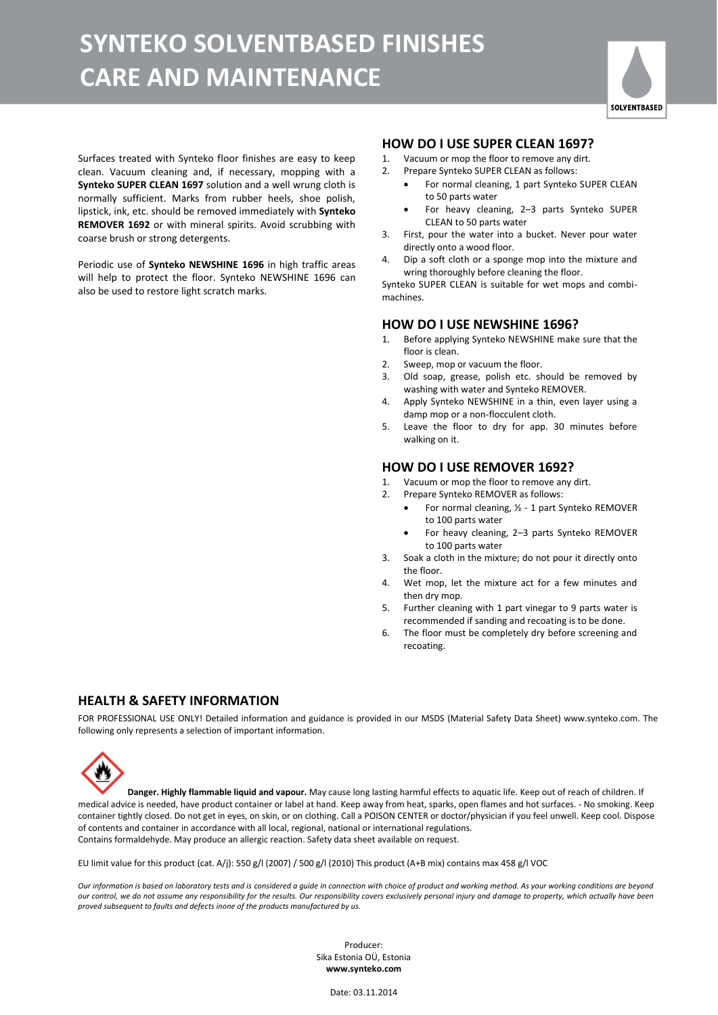# **SYNTEKO SOLVENTBASED FINISHES CARE AND MAINTENANCE**



Surfaces treated with Synteko floor finishes are easy to keep clean. Vacuum cleaning and, if necessary, mopping with a **Synteko SUPER CLEAN 1697** solution and a well wrung cloth is normally sufficient. Marks from rubber heels, shoe polish, lipstick, ink, etc. should be removed immediately with **Synteko REMOVER 1692** or with mineral spirits. Avoid scrubbing with coarse brush or strong detergents.

Periodic use of **Synteko NEWSHINE 1696** in high traffic areas will help to protect the floor. Synteko NEWSHINE 1696 can also be used to restore light scratch marks.

#### **HOW DO I USE SUPER CLEAN 1697?**

- 1. Vacuum or mop the floor to remove any dirt.
- 2. Prepare Synteko SUPER CLEAN as follows:
	- For normal cleaning, 1 part Synteko SUPER CLEAN to 50 parts water
	- For heavy cleaning, 2–3 parts Synteko SUPER CLEAN to 50 parts water
- 3. First, pour the water into a bucket. Never pour water directly onto a wood floor.
- 4. Dip a soft cloth or a sponge mop into the mixture and wring thoroughly before cleaning the floor.

Synteko SUPER CLEAN is suitable for wet mops and combimachines.

#### **HOW DO I USE NEWSHINE 1696?**

- 1. Before applying Synteko NEWSHINE make sure that the floor is clean.
- 2. Sweep, mop or vacuum the floor.
- 3. Old soap, grease, polish etc. should be removed by washing with water and Synteko REMOVER.
- 4. Apply Synteko NEWSHINE in a thin, even layer using a damp mop or a non-flocculent cloth.
- 5. Leave the floor to dry for app. 30 minutes before walking on it.

#### **HOW DO I USE REMOVER 1692?**

- 1. Vacuum or mop the floor to remove any dirt.
- 2. Prepare Synteko REMOVER as follows:
	- For normal cleaning, ½ 1 part Synteko REMOVER to 100 parts water
	- For heavy cleaning, 2–3 parts Synteko REMOVER to 100 parts water
- 3. Soak a cloth in the mixture; do not pour it directly onto the floor.
- 4. Wet mop, let the mixture act for a few minutes and then dry mop.
- 5. Further cleaning with 1 part vinegar to 9 parts water is recommended if sanding and recoating is to be done.
- 6. The floor must be completely dry before screening and recoating.

# **HEALTH & SAFETY INFORMATION**

FOR PROFESSIONAL USE ONLY! Detailed information and guidance is provided in our MSDS (Material Safety Data Sheet) www.synteko.com. The following only represents a selection of important information.

**Danger. Highly flammable liquid and vapour.** May cause long lasting harmful effects to aquatic life. Keep out of reach of children. If medical advice is needed, have product container or label at hand. Keep away from heat, sparks, open flames and hot surfaces. - No smoking. Keep container tightly closed. Do not get in eyes, on skin, or on clothing. Call a POISON CENTER or doctor/physician if you feel unwell. Keep cool. Dispose of contents and container in accordance with all local, regional, national or international regulations. Contains formaldehyde. May produce an allergic reaction. Safety data sheet available on request.

EU limit value for this product (cat. A/j): 550 g/l (2007) / 500 g/l (2010) This product (A+B mix) contains max 458 g/l VOC

*Our information is based on laboratory tests and is considered a guide in connection with choice of product and working method. As your working conditions are beyond our control, we do not assume any responsibility for the results. Our responsibility covers exclusively personal injury and damage to property, which actually have been proved subsequent to faults and defects inone of the products manufactured by us.*

> Producer: Sika Estonia OÜ, Estonia **www.synteko.com**

> > Date: 03.11.2014